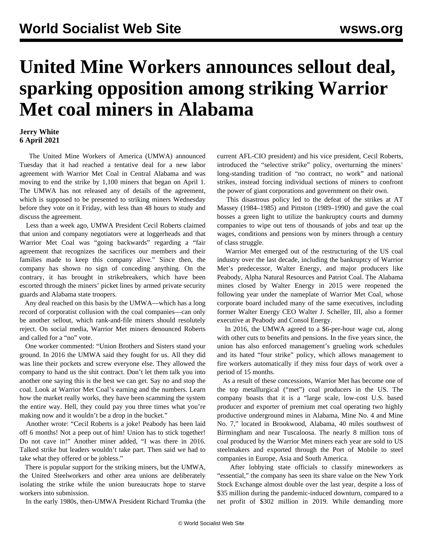## **United Mine Workers announces sellout deal, sparking opposition among striking Warrior Met coal miners in Alabama**

## **Jerry White 6 April 2021**

 The United Mine Workers of America (UMWA) announced Tuesday that it had reached a tentative deal for a new labor agreement with Warrior Met Coal in Central Alabama and was moving to end the strike by 1,100 miners that began on April 1. The UMWA has not released any of details of the agreement, which is supposed to be presented to striking miners Wednesday before they vote on it Friday, with less than 48 hours to study and discuss the agreement.

 Less than a week ago, UMWA President Cecil Roberts claimed that union and company negotiators were at loggerheads and that Warrior Met Coal was "going backwards" regarding a "fair agreement that recognizes the sacrifices our members and their families made to keep this company alive." Since then, the company has shown no sign of conceding anything. On the contrary, it has brought in strikebreakers, which have been escorted through the miners' picket lines by armed private security guards and Alabama state troopers.

 Any deal reached on this basis by the UMWA—which has a long record of corporatist collusion with the coal companies—can only be another sellout, which rank-and-file miners should resolutely reject. On social media, Warrior Met miners denounced Roberts and called for a "no" vote.

 One worker commented: "Union Brothers and Sisters stand your ground. In 2016 the UMWA said they fought for us. All they did was line their pockets and screw everyone else. They allowed the company to hand us the shit contract. Don't let them talk you into another one saying this is the best we can get. Say no and stop the coal. Look at Warrior Met Coal's earning and the numbers. Learn how the market really works, they have been scamming the system the entire way. Hell, they could pay you three times what you're making now and it wouldn't be a drop in the bucket."

 Another wrote: "Cecil Roberts is a joke! Peabody has been laid off 6 months! Not a peep out of him! Union has to stick together! Do not cave in!" Another miner added, "I was there in 2016. Talked strike but leaders wouldn't take part. Then said we had to take what they offered or be jobless."

 There is popular support for the striking miners, but the UMWA, the United Steelworkers and other area unions are deliberately isolating the strike while the union bureaucrats hope to starve workers into submission.

In the early 1980s, then-UMWA President Richard Trumka (the

current AFL-CIO president) and his vice president, Cecil Roberts, introduced the "selective strike" policy, overturning the miners' long-standing tradition of "no contract, no work" and national strikes, instead forcing individual sections of miners to confront the power of giant corporations and government on their own.

 This disastrous policy led to the defeat of the strikes at AT Massey (1984–1985) and Pittston (1989–1990) and gave the coal bosses a green light to utilize the bankruptcy courts and dummy companies to wipe out tens of thousands of jobs and tear up the wages, conditions and pensions won by miners through a century of class struggle.

 Warrior Met emerged out of the restructuring of the US coal industry over the last decade, including the bankruptcy of Warrior Met's predecessor, Walter Energy, and major producers like Peabody, Alpha Natural Resources and Patriot Coal. The Alabama mines closed by Walter Energy in 2015 were reopened the following year under the nameplate of Warrior Met Coal, whose corporate board included many of the same executives, including former Walter Energy CEO Walter J. Scheller, III, also a former executive at Peabody and Consol Energy.

 In 2016, the UMWA agreed to a \$6-per-hour wage cut, along with other cuts to benefits and pensions. In the five years since, the union has also enforced management's grueling work schedules and its hated "four strike" policy, which allows management to fire workers automatically if they miss four days of work over a period of 15 months.

 As a result of these concessions, Warrior Met has become one of the top metallurgical ("met") coal producers in the US. The company boasts that it is a "large scale, low-cost U.S. based producer and exporter of premium met coal operating two highly productive underground mines in Alabama, Mine No. 4 and Mine No. 7," located in Brookwood, Alabama, 40 miles southwest of Birmingham and near Tuscaloosa. The nearly 8 million tons of coal produced by the Warrior Met miners each year are sold to US steelmakers and exported through the Port of Mobile to steel companies in Europe, Asia and South America.

 After lobbying state officials to classify mineworkers as "essential," the company has seen its share value on the New York Stock Exchange almost double over the last year, despite a loss of \$35 million during the pandemic-induced downturn, compared to a net profit of \$302 million in 2019. While demanding more